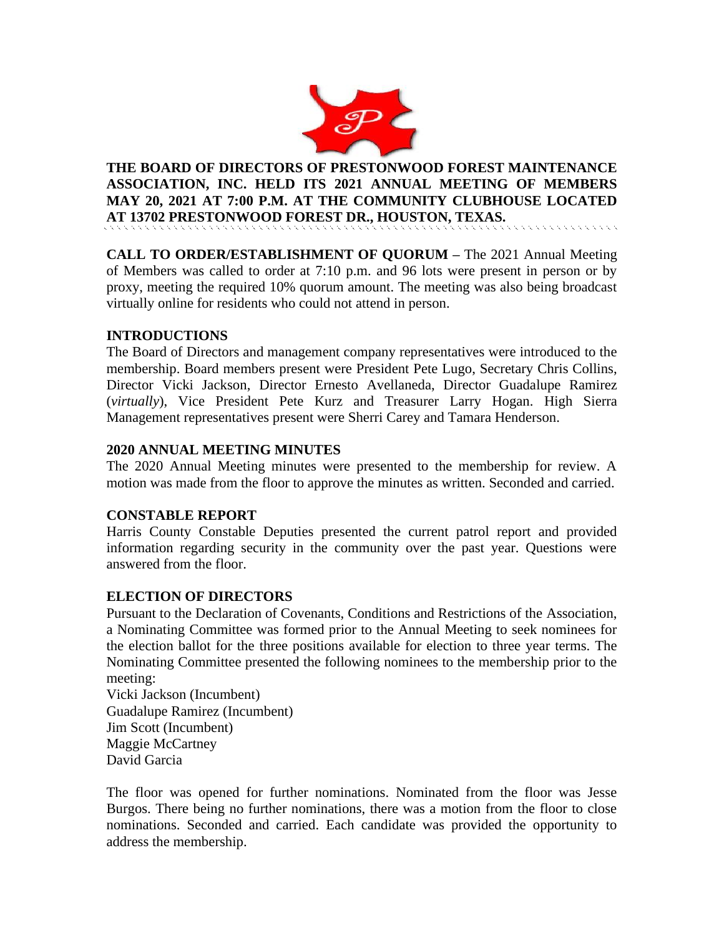

**THE BOARD OF DIRECTORS OF PRESTONWOOD FOREST MAINTENANCE ASSOCIATION, INC. HELD ITS 2021 ANNUAL MEETING OF MEMBERS MAY 20, 2021 AT 7:00 P.M. AT THE COMMUNITY CLUBHOUSE LOCATED AT 13702 PRESTONWOOD FOREST DR., HOUSTON, TEXAS.**

**CALL TO ORDER/ESTABLISHMENT OF QUORUM –** The 2021 Annual Meeting of Members was called to order at 7:10 p.m. and 96 lots were present in person or by proxy, meeting the required 10% quorum amount. The meeting was also being broadcast virtually online for residents who could not attend in person.

# **INTRODUCTIONS**

The Board of Directors and management company representatives were introduced to the membership. Board members present were President Pete Lugo, Secretary Chris Collins, Director Vicki Jackson, Director Ernesto Avellaneda, Director Guadalupe Ramirez (*virtually*), Vice President Pete Kurz and Treasurer Larry Hogan. High Sierra Management representatives present were Sherri Carey and Tamara Henderson.

# **2020 ANNUAL MEETING MINUTES**

The 2020 Annual Meeting minutes were presented to the membership for review. A motion was made from the floor to approve the minutes as written. Seconded and carried.

# **CONSTABLE REPORT**

Harris County Constable Deputies presented the current patrol report and provided information regarding security in the community over the past year. Questions were answered from the floor.

# **ELECTION OF DIRECTORS**

Pursuant to the Declaration of Covenants, Conditions and Restrictions of the Association, a Nominating Committee was formed prior to the Annual Meeting to seek nominees for the election ballot for the three positions available for election to three year terms. The Nominating Committee presented the following nominees to the membership prior to the meeting:

Vicki Jackson (Incumbent) Guadalupe Ramirez (Incumbent) Jim Scott (Incumbent) Maggie McCartney David Garcia

The floor was opened for further nominations. Nominated from the floor was Jesse Burgos. There being no further nominations, there was a motion from the floor to close nominations. Seconded and carried. Each candidate was provided the opportunity to address the membership.